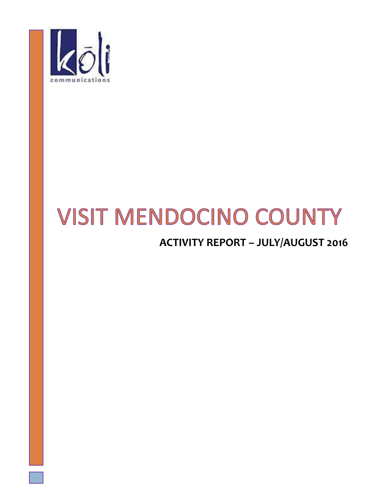

# **VISIT MENDOCINO COUNTY**

# **ACTIVITY REPORT – JULY/AUGUST 2016**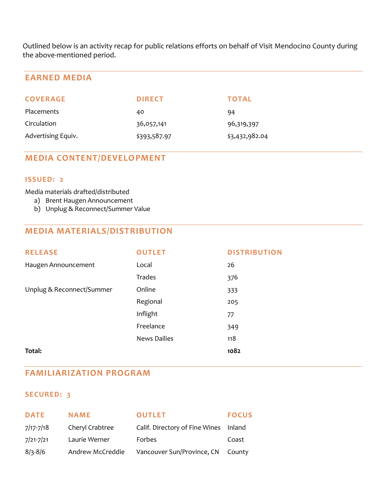Outlined below is an activity recap for public relations efforts on behalf of Visit Mendocino County during the above-mentioned period.

# **EARNED MEDIA**

| <b>COVERAGE</b>    | <b>DIRECT</b> | <b>TOTAL</b>   |
|--------------------|---------------|----------------|
| <b>Placements</b>  | 40            | 94             |
| Circulation        | 36,057,141    | 96,319,397     |
| Advertising Equiv. | \$393,587.97  | \$3,432,982.04 |

# **MEDIA CONTENT/DEVELOPMENT**

#### **ISSUED: 2**

#### Media materials drafted/distributed

- a) Brent Haugen Announcement
- b) Unplug & Reconnect/Summer Value

# **MEDIA MATERIALS/DISTRIBUTION**

| <b>RELEASE</b>            | <b>OUTLET</b>       | <b>DISTRIBUTION</b> |
|---------------------------|---------------------|---------------------|
| Haugen Announcement       | Local               | 26                  |
|                           | Trades              | 376                 |
| Unplug & Reconnect/Summer | Online              | 333                 |
|                           | Regional            | 205                 |
|                           | Inflight            | 77                  |
|                           | Freelance           | 349                 |
|                           | <b>News Dailies</b> | 118                 |
| Total:                    |                     | 1082                |

## **FAMILIARIZATION PROGRAM**

# **SECURED: 3**

| <b>DATE</b>   | <b>NAME</b>      | <b>OUTLET</b>                         | <b>FOCUS</b> |
|---------------|------------------|---------------------------------------|--------------|
| $7/17 - 7/18$ | Cheryl Crabtree  | Calif. Directory of Fine Wines Inland |              |
| $7/21 - 7/21$ | Laurie Werner    | Forbes                                | Coast        |
| $8/3 - 8/6$   | Andrew McCreddie | Vancouver Sun/Province, CN County     |              |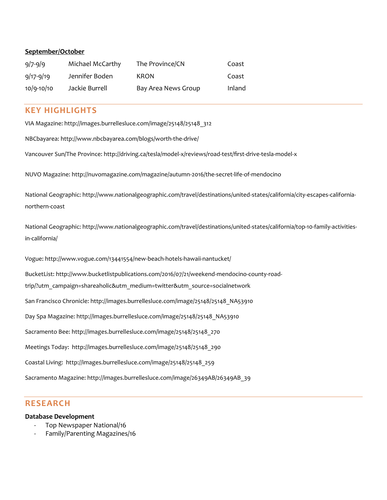#### **September/October**

| $9/7 - 9/9$    | Michael McCarthy | The Province/CN     | Coast  |
|----------------|------------------|---------------------|--------|
| $9/17 - 9/19$  | Jennifer Boden   | KRON                | Coast  |
| $10/9 - 10/10$ | Jackie Burrell   | Bay Area News Group | Inland |

#### **KEY HIGHLIGHTS**

VIA Magazine: [http://images.burrellesluce.com/image/25148/25148\\_312](http://images.burrellesluce.com/image/25148/25148_312)

NBCbayarea:<http://www.nbcbayarea.com/blogs/worth-the-drive/>

Vancouver Sun/The Province: <http://driving.ca/tesla/model-x/reviews/road-test/first-drive-tesla-model-x>

NUVO Magazine[: http://nuvomagazine.com/magazine/autumn-2016/the-secret-life-of-mendocino](http://nuvomagazine.com/magazine/autumn-2016/the-secret-life-of-mendocino)

National Geographic[: http://www.nationalgeographic.com/travel/destinations/united-states/california/city-escapes-california](http://www.nationalgeographic.com/travel/destinations/united-states/california/city-escapes-california-northern-coast)[northern-coast](http://www.nationalgeographic.com/travel/destinations/united-states/california/city-escapes-california-northern-coast)

National Geographic[: http://www.nationalgeographic.com/travel/destinations/united-states/california/top-10-family-activities](http://www.nationalgeographic.com/travel/destinations/united-states/california/top-10-family-activities-in-california/)[in-california/](http://www.nationalgeographic.com/travel/destinations/united-states/california/top-10-family-activities-in-california/)

Vogue:<http://www.vogue.com/13441554/new-beach-hotels-hawaii-nantucket/>

BucketList[: http://www.bucketlistpublications.com/2016/07/21/weekend-mendocino-county-road-](http://www.bucketlistpublications.com/2016/07/21/weekend-mendocino-county-road-trip/?utm_campaign=shareaholic&utm_medium=twitter&utm_source=socialnetwork)

[trip/?utm\\_campaign=shareaholic&utm\\_medium=twitter&utm\\_source=socialnetwork](http://www.bucketlistpublications.com/2016/07/21/weekend-mendocino-county-road-trip/?utm_campaign=shareaholic&utm_medium=twitter&utm_source=socialnetwork)

San Francisco Chronicle[: http://images.burrellesluce.com/image/25148/25148\\_NA53910](http://images.burrellesluce.com/image/25148/25148_NA53910)

Day Spa Magazine: [http://images.burrellesluce.com/image/25148/25148\\_NA53910](http://images.burrellesluce.com/image/25148/25148_NA53910)

Sacramento Bee[: http://images.burrellesluce.com/image/25148/25148\\_270](http://images.burrellesluce.com/image/25148/25148_270)

Meetings Today: [http://images.burrellesluce.com/image/25148/25148\\_290](http://images.burrellesluce.com/image/25148/25148_290)

Coastal Living: [http://images.burrellesluce.com/image/25148/25148\\_259](http://images.burrellesluce.com/image/25148/25148_259)

Sacramento Magazine: http://images.burrellesluce.com/image/26349AB/26349AB\_39

### **RESEARCH**

#### **Database Development**

- Top Newspaper National/16
- Family/Parenting Magazines/16